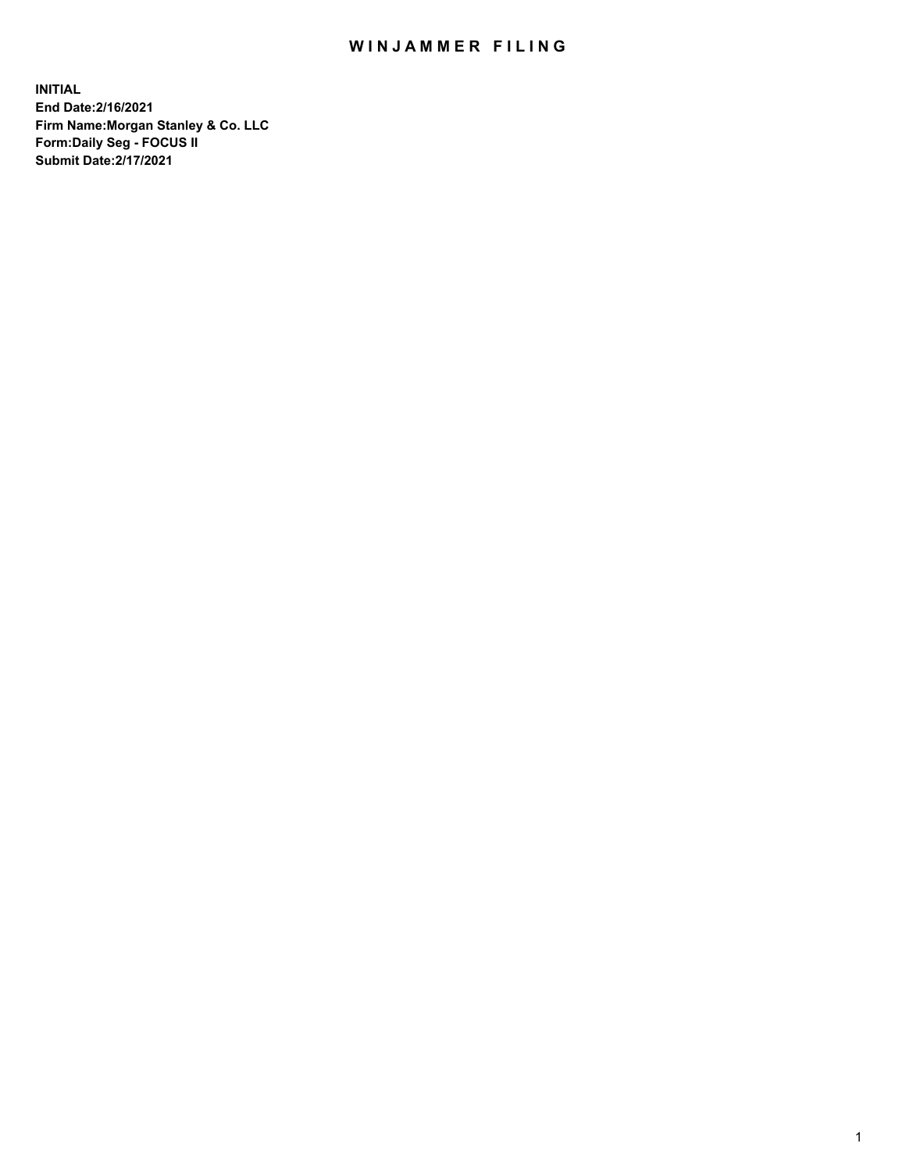## WIN JAMMER FILING

**INITIAL End Date:2/16/2021 Firm Name:Morgan Stanley & Co. LLC Form:Daily Seg - FOCUS II Submit Date:2/17/2021**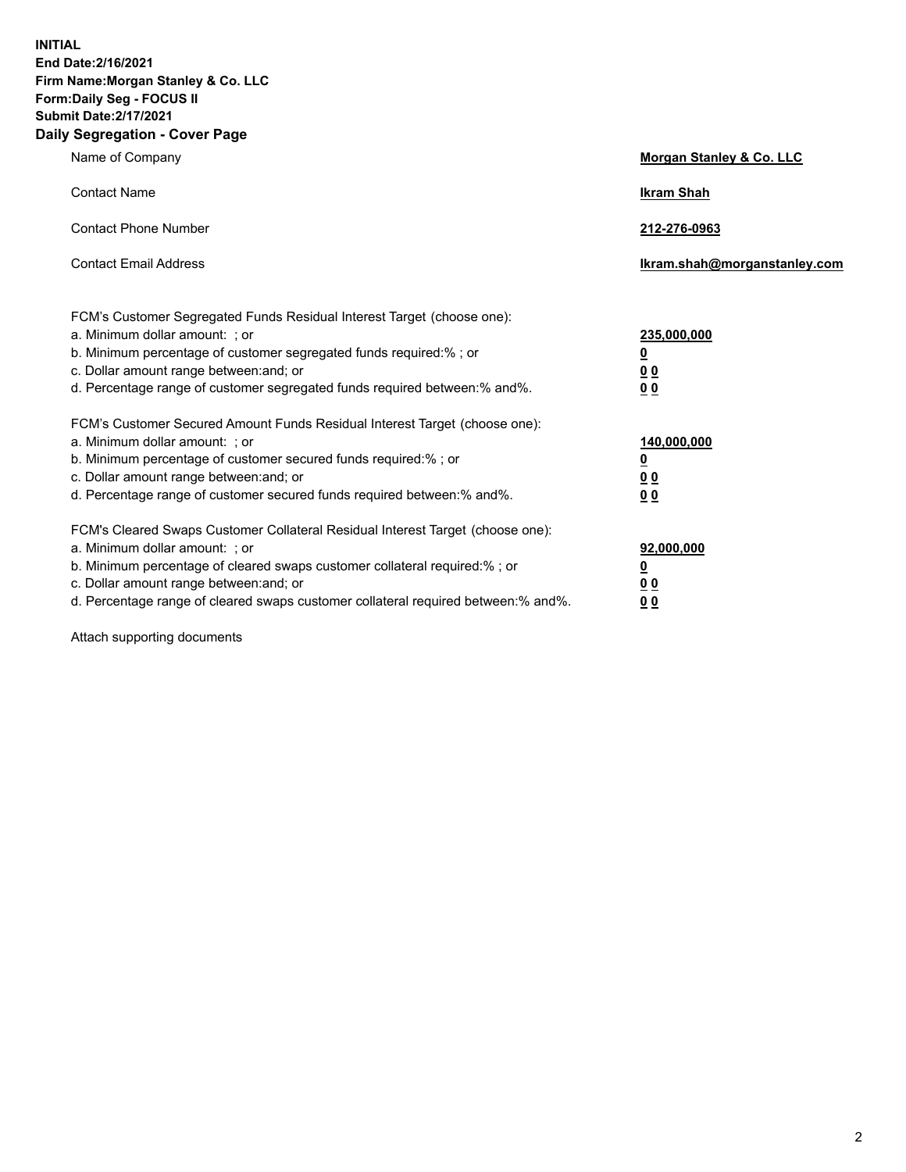**INITIAL End Date:2/16/2021 Firm Name:Morgan Stanley & Co. LLC Form:Daily Seg - FOCUS II Submit Date:2/17/2021 Daily Segregation - Cover Page**

| Name of Company                                                                                                                                                                                                                                                                                                                | <b>Morgan Stanley &amp; Co. LLC</b>                         |
|--------------------------------------------------------------------------------------------------------------------------------------------------------------------------------------------------------------------------------------------------------------------------------------------------------------------------------|-------------------------------------------------------------|
| <b>Contact Name</b>                                                                                                                                                                                                                                                                                                            | <b>Ikram Shah</b>                                           |
| <b>Contact Phone Number</b>                                                                                                                                                                                                                                                                                                    | 212-276-0963                                                |
| <b>Contact Email Address</b>                                                                                                                                                                                                                                                                                                   | Ikram.shah@morganstanley.com                                |
| FCM's Customer Segregated Funds Residual Interest Target (choose one):<br>a. Minimum dollar amount: ; or<br>b. Minimum percentage of customer segregated funds required:%; or<br>c. Dollar amount range between: and; or<br>d. Percentage range of customer segregated funds required between:% and%.                          | 235,000,000<br><u>0</u><br>0 <sub>0</sub><br>0 <sub>0</sub> |
| FCM's Customer Secured Amount Funds Residual Interest Target (choose one):<br>a. Minimum dollar amount: ; or<br>b. Minimum percentage of customer secured funds required:% ; or<br>c. Dollar amount range between: and; or<br>d. Percentage range of customer secured funds required between:% and%.                           | 140,000,000<br><u>0</u><br>0 <sub>0</sub><br>0 <sub>0</sub> |
| FCM's Cleared Swaps Customer Collateral Residual Interest Target (choose one):<br>a. Minimum dollar amount: ; or<br>b. Minimum percentage of cleared swaps customer collateral required:% ; or<br>c. Dollar amount range between: and; or<br>d. Percentage range of cleared swaps customer collateral required between:% and%. | 92,000,000<br><u>0</u><br><u>00</u><br>0 <sub>0</sub>       |

Attach supporting documents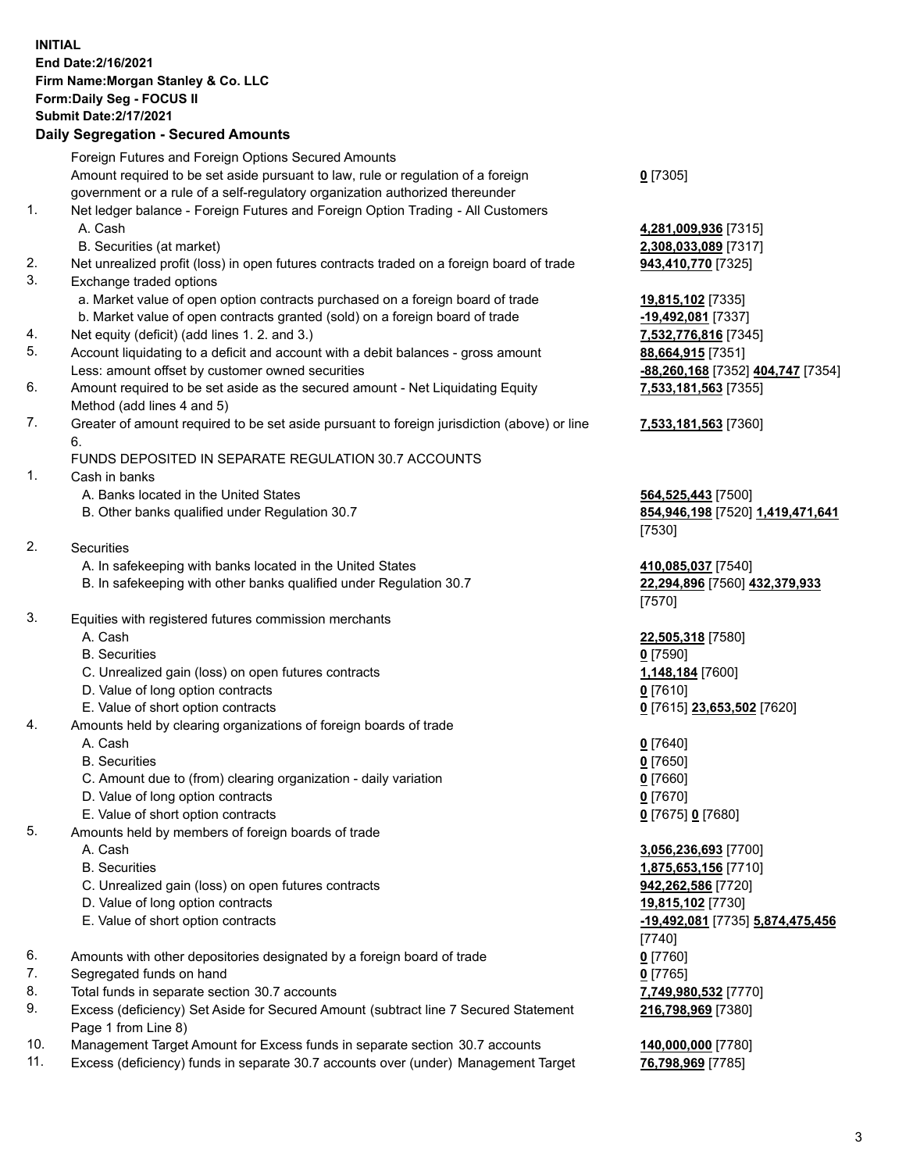## **INITIAL End Date:2/16/2021 Firm Name:Morgan Stanley & Co. LLC Form:Daily Seg - FOCUS II Submit Date:2/17/2021**

## **Daily Segregation - Secured Amounts**

Foreign Futures and Foreign Options Secured Amounts Amount required to be set aside pursuant to law, rule or regulation of a foreign government or a rule of a self-regulatory organization authorized thereunder **0** [7305] 1. Net ledger balance - Foreign Futures and Foreign Option Trading - All Customers A. Cash **4,281,009,936** [7315] B. Securities (at market) **2,308,033,089** [7317] 2. Net unrealized profit (loss) in open futures contracts traded on a foreign board of trade **943,410,770** [7325] 3. Exchange traded options a. Market value of open option contracts purchased on a foreign board of trade **19,815,102** [7335] b. Market value of open contracts granted (sold) on a foreign board of trade **-19,492,081** [7337] 4. Net equity (deficit) (add lines 1. 2. and 3.) **7,532,776,816** [7345] 5. Account liquidating to a deficit and account with a debit balances - gross amount **88,664,915** [7351] Less: amount offset by customer owned securities **-88,260,168** [7352] **404,747** [7354] 6. Amount required to be set aside as the secured amount - Net Liquidating Equity Method (add lines 4 and 5) 7. Greater of amount required to be set aside pursuant to foreign jurisdiction (above) or line 6. FUNDS DEPOSITED IN SEPARATE REGULATION 30.7 ACCOUNTS 1. Cash in banks A. Banks located in the United States **564,525,443** [7500] B. Other banks qualified under Regulation 30.7 **854,946,198** [7520] **1,419,471,641** [7530] 2. Securities A. In safekeeping with banks located in the United States **410,085,037** [7540] B. In safekeeping with other banks qualified under Regulation 30.7 **22,294,896** [7560] **432,379,933** [7570] 3. Equities with registered futures commission merchants A. Cash **22,505,318** [7580] B. Securities **0** [7590] C. Unrealized gain (loss) on open futures contracts **1,148,184** [7600] D. Value of long option contracts **0** [7610] E. Value of short option contracts **0** [7615] **23,653,502** [7620] 4. Amounts held by clearing organizations of foreign boards of trade A. Cash **0** [7640] B. Securities **0** [7650] C. Amount due to (from) clearing organization - daily variation **0** [7660] D. Value of long option contracts **0** [7670] E. Value of short option contracts **0** [7675] **0** [7680] 5. Amounts held by members of foreign boards of trade A. Cash **3,056,236,693** [7700] B. Securities **1,875,653,156** [7710] C. Unrealized gain (loss) on open futures contracts **942,262,586** [7720] D. Value of long option contracts **19,815,102** [7730] E. Value of short option contracts **-19,492,081** [7735] **5,874,475,456** [7740] 6. Amounts with other depositories designated by a foreign board of trade **0** [7760] 7. Segregated funds on hand **0** [7765] 8. Total funds in separate section 30.7 accounts **7,749,980,532** [7770] 9. Excess (deficiency) Set Aside for Secured Amount (subtract line 7 Secured Statement Page 1 from Line 8)

- 10. Management Target Amount for Excess funds in separate section 30.7 accounts **140,000,000** [7780]
- 11. Excess (deficiency) funds in separate 30.7 accounts over (under) Management Target **76,798,969** [7785]

**7,533,181,563** [7355]

## **7,533,181,563** [7360]

**216,798,969** [7380]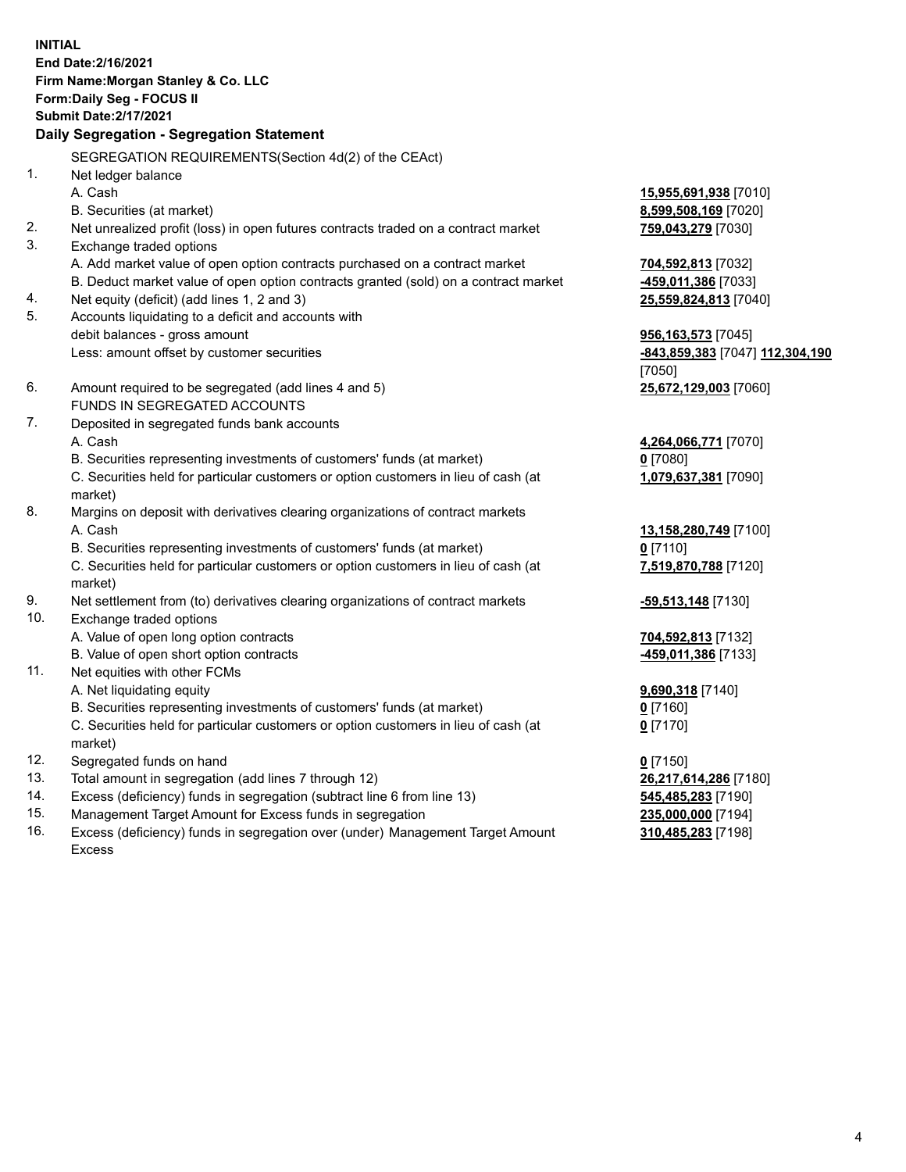**INITIAL End Date:2/16/2021 Firm Name:Morgan Stanley & Co. LLC Form:Daily Seg - FOCUS II Submit Date:2/17/2021 Daily Segregation - Segregation Statement** SEGREGATION REQUIREMENTS(Section 4d(2) of the CEAct) 1. Net ledger balance A. Cash **15,955,691,938** [7010] B. Securities (at market) **8,599,508,169** [7020] 2. Net unrealized profit (loss) in open futures contracts traded on a contract market **759,043,279** [7030] 3. Exchange traded options A. Add market value of open option contracts purchased on a contract market **704,592,813** [7032] B. Deduct market value of open option contracts granted (sold) on a contract market **-459,011,386** [7033] 4. Net equity (deficit) (add lines 1, 2 and 3) **25,559,824,813** [7040] 5. Accounts liquidating to a deficit and accounts with debit balances - gross amount **956,163,573** [7045] Less: amount offset by customer securities **-843,859,383** [7047] **112,304,190** [7050] 6. Amount required to be segregated (add lines 4 and 5) **25,672,129,003** [7060] FUNDS IN SEGREGATED ACCOUNTS 7. Deposited in segregated funds bank accounts A. Cash **4,264,066,771** [7070] B. Securities representing investments of customers' funds (at market) **0** [7080] C. Securities held for particular customers or option customers in lieu of cash (at market) **1,079,637,381** [7090] 8. Margins on deposit with derivatives clearing organizations of contract markets A. Cash **13,158,280,749** [7100] B. Securities representing investments of customers' funds (at market) **0** [7110] C. Securities held for particular customers or option customers in lieu of cash (at market) **7,519,870,788** [7120] 9. Net settlement from (to) derivatives clearing organizations of contract markets **-59,513,148** [7130] 10. Exchange traded options A. Value of open long option contracts **704,592,813** [7132] B. Value of open short option contracts **and the set of our original contracts -459,011,386** [7133] 11. Net equities with other FCMs A. Net liquidating equity **9,690,318** [7140] B. Securities representing investments of customers' funds (at market) **0** [7160] C. Securities held for particular customers or option customers in lieu of cash (at market) **0** [7170] 12. Segregated funds on hand **0** [7150] 13. Total amount in segregation (add lines 7 through 12) **26,217,614,286** [7180] 14. Excess (deficiency) funds in segregation (subtract line 6 from line 13) **545,485,283** [7190] 15. Management Target Amount for Excess funds in segregation **235,000,000** [7194]

16. Excess (deficiency) funds in segregation over (under) Management Target Amount Excess

**310,485,283** [7198]